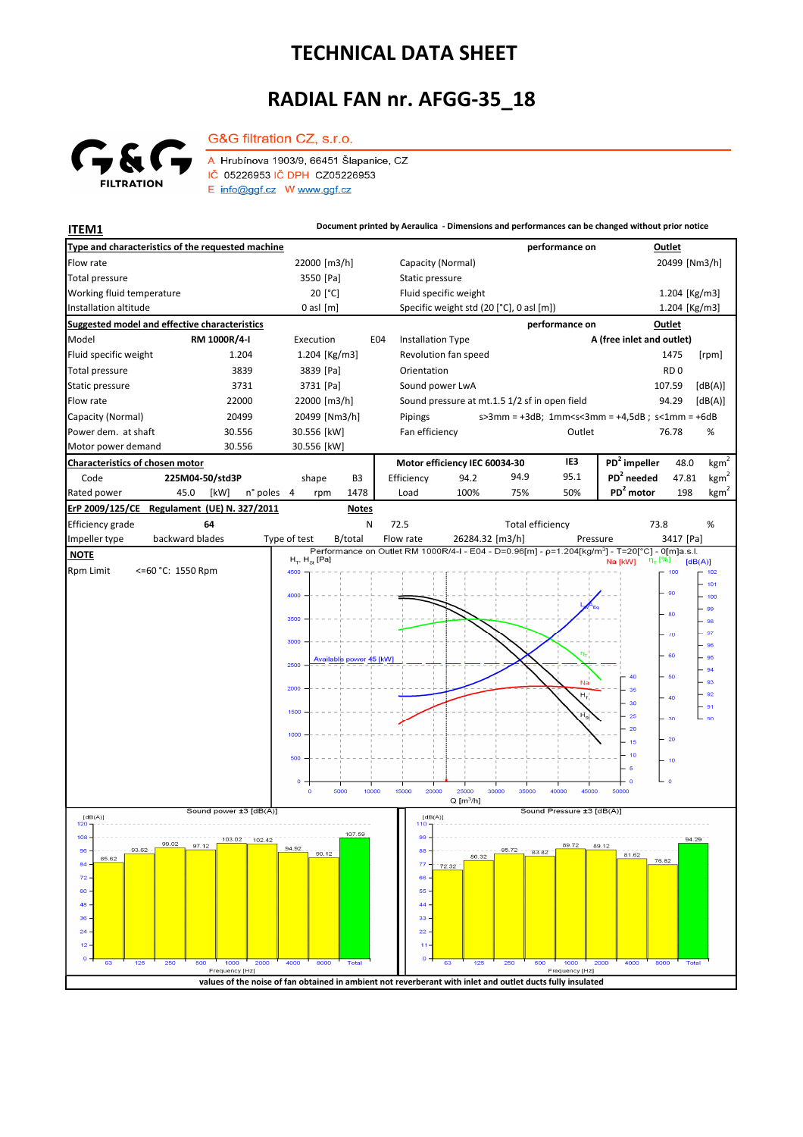## **TECHNICAL DATA SHEET**

## **RADIAL FAN nr. AFGG-35\_18**



G&G filtration CZ, s.r.o. A Hrubínova 1903/9, 66451 Šlapanice, CZ IČ 05226953 IČ DPH CZ05226953 E info@ggf.cz W www.ggf.cz

**ITEM1 ITEM1 Document printed by Aeraulica** - Dimensions and performances can be changed without prior notice

| Type and characteristics of the requested machine                                                          |                               |                                                                                                                                            | performance on                        | Outlet                                                                     |
|------------------------------------------------------------------------------------------------------------|-------------------------------|--------------------------------------------------------------------------------------------------------------------------------------------|---------------------------------------|----------------------------------------------------------------------------|
| Flow rate                                                                                                  | 22000 [m3/h]                  | Capacity (Normal)                                                                                                                          |                                       | 20499 [Nm3/h]                                                              |
| Total pressure                                                                                             | 3550 [Pa]                     | Static pressure                                                                                                                            |                                       |                                                                            |
| Working fluid temperature                                                                                  | 20 [°C]                       | Fluid specific weight                                                                                                                      |                                       | 1.204 [Kg/m3]                                                              |
| Installation altitude                                                                                      | $0$ asl $[m]$                 | Specific weight std (20 [°C], 0 asl [m])                                                                                                   |                                       | 1.204 [Kg/m3]                                                              |
| Suggested model and effective characteristics                                                              |                               |                                                                                                                                            | performance on                        | Outlet                                                                     |
| Model<br>RM 1000R/4-I                                                                                      | Execution                     | <b>Installation Type</b><br>E04                                                                                                            |                                       | A (free inlet and outlet)                                                  |
| Fluid specific weight<br>1.204                                                                             | 1.204 [Kg/m3]                 | Revolution fan speed                                                                                                                       |                                       | 1475<br>[rpm]                                                              |
| <b>Total pressure</b><br>3839                                                                              | 3839 [Pa]                     | Orientation                                                                                                                                |                                       | RD <sub>0</sub>                                                            |
| Static pressure<br>3731                                                                                    | 3731 [Pa]                     | Sound power LwA                                                                                                                            |                                       | [dB(A)]<br>107.59                                                          |
| Flow rate<br>22000                                                                                         | 22000 [m3/h]                  | Sound pressure at mt.1.5 1/2 sf in open field                                                                                              |                                       | [dB(A)]<br>94.29                                                           |
| Capacity (Normal)<br>20499                                                                                 | 20499 [Nm3/h]                 | Pipings                                                                                                                                    |                                       | $s > 3$ mm = +3dB; 1mm <s<3mm +4,5db;="" =="" s<1mm="+6dB&lt;/td"></s<3mm> |
| Power dem. at shaft<br>30.556                                                                              | 30.556 [kW]                   | Fan efficiency                                                                                                                             | Outlet                                | 76.78<br>%                                                                 |
| Motor power demand<br>30.556                                                                               | 30.556 [kW]                   |                                                                                                                                            |                                       |                                                                            |
| Characteristics of chosen motor                                                                            |                               | Motor efficiency IEC 60034-30                                                                                                              | IE3                                   | PD <sup>2</sup> impeller<br>kgm <sup>2</sup><br>48.0                       |
| 225M04-50/std3P<br>Code                                                                                    | shape<br>B <sub>3</sub>       | Efficiency<br>94.2                                                                                                                         | 95.1<br>94.9                          | $PD2$ needed<br>kgm <sup>2</sup><br>47.81                                  |
| Rated power<br>45.0<br>[kW]<br>n° poles                                                                    | $\overline{4}$<br>1478<br>rpm | Load<br>100%                                                                                                                               | 50%<br>75%                            | PD <sup>2</sup> motor<br>kgm <sup>2</sup><br>198                           |
| Regulament (UE) N. 327/2011<br>ErP 2009/125/CE<br><b>Notes</b>                                             |                               |                                                                                                                                            |                                       |                                                                            |
| Efficiency grade<br>64                                                                                     | N                             | 72.5                                                                                                                                       | <b>Total efficiency</b>               | 73.8<br>%                                                                  |
| backward blades<br>Impeller type                                                                           | Type of test<br>B/total       | Flow rate<br>26284.32 [m3/h]<br>Performance on Outlet RM 1000R/4-I - E04 - D=0.96[m] - p=1.204[kg/m <sup>3</sup> ] - T=20[°C] - 0[m]a.s.l. | Pressure                              | 3417 [Pa]                                                                  |
| <b>NOTE</b>                                                                                                | $H_T$ , $H_{St}$ [Pa]         |                                                                                                                                            |                                       | η <sub>τ</sub> [%]<br>Na [kW]<br>[dB(A)]                                   |
| <b>Rpm Limit</b><br><=60 °C: 1550 Rpm                                                                      | 4500                          |                                                                                                                                            |                                       | 100<br>102<br>101                                                          |
|                                                                                                            | 4000                          |                                                                                                                                            |                                       | 90<br>100                                                                  |
|                                                                                                            |                               |                                                                                                                                            |                                       | 99<br>80                                                                   |
|                                                                                                            | 3500                          |                                                                                                                                            |                                       | 98<br>97                                                                   |
|                                                                                                            | 3000                          |                                                                                                                                            |                                       | $\sqrt{0}$<br>96                                                           |
|                                                                                                            | Available power 45 [kW]       |                                                                                                                                            |                                       | 60<br>95                                                                   |
|                                                                                                            | 2500                          |                                                                                                                                            |                                       | 94<br>50                                                                   |
|                                                                                                            | 2000                          |                                                                                                                                            | Na                                    | 93<br>35<br>92                                                             |
|                                                                                                            |                               |                                                                                                                                            | $H_T$                                 | 40<br>30<br>.91                                                            |
|                                                                                                            | 1500                          |                                                                                                                                            |                                       | 25<br>30<br>00 كا                                                          |
|                                                                                                            | 1000                          |                                                                                                                                            |                                       | 20<br>$-20$<br>15                                                          |
|                                                                                                            |                               |                                                                                                                                            |                                       | 10                                                                         |
|                                                                                                            | 500                           |                                                                                                                                            |                                       | 10<br>-5                                                                   |
|                                                                                                            | o                             |                                                                                                                                            |                                       | ە جا                                                                       |
|                                                                                                            | 10000<br>5000<br>$\circ$      | 15000<br>20000<br>25000<br>30000<br>$Q[m^3/h]$                                                                                             | 35000<br>40000<br>45000               | 50000                                                                      |
| Sound power ±3 [dB(A)]<br>Sound Pressure ±3 [dB(A)]<br>[dB(A)]<br>[dB(A)]                                  |                               |                                                                                                                                            |                                       |                                                                            |
| 120                                                                                                        | 107.59                        | 110                                                                                                                                        |                                       |                                                                            |
| 108<br>103.02<br>102.42<br>99.02<br>96<br>93.62                                                            |                               | 99<br>$88 -$                                                                                                                               | 89.72<br>89.12<br>85.72               | 94.29                                                                      |
| 85.62<br>84                                                                                                | 90.12                         | 80.32<br>77.                                                                                                                               | 83.82                                 | 81.62<br>76.82                                                             |
| 72.                                                                                                        |                               | 72.32<br>66                                                                                                                                |                                       |                                                                            |
| 60                                                                                                         |                               | 55                                                                                                                                         |                                       |                                                                            |
| 48                                                                                                         |                               | 44                                                                                                                                         |                                       |                                                                            |
| 36                                                                                                         |                               | 33                                                                                                                                         |                                       |                                                                            |
| 24                                                                                                         |                               | 22                                                                                                                                         |                                       |                                                                            |
| 12<br>o                                                                                                    |                               | 11<br>$\circ$                                                                                                                              |                                       |                                                                            |
| 125<br>250<br>500<br>1000<br>2000<br>63<br>Frequency [Hz]                                                  | 4000<br>8000<br>Total         | 63<br>125<br>250                                                                                                                           | 1000<br>2000<br>500<br>Frequency [Hz] | 4000<br>8000<br>Total                                                      |
| values of the noise of fan obtained in ambient not reverberant with inlet and outlet ducts fully insulated |                               |                                                                                                                                            |                                       |                                                                            |